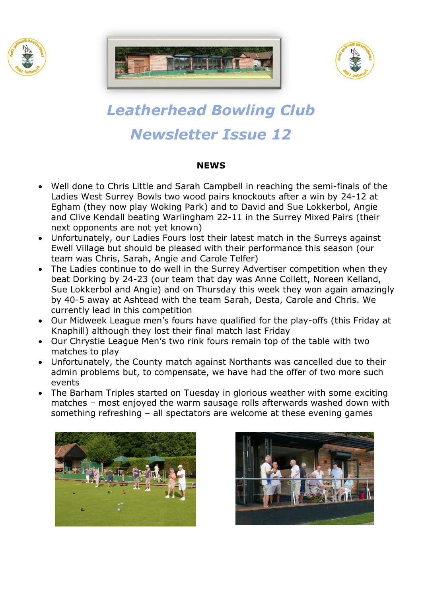





# *Leatherhead Bowling Club Newsletter Issue 12*

#### **NEWS**

- Well done to Chris Little and Sarah Campbell in reaching the semi-finals of the Ladies West Surrey Bowls two wood pairs knockouts after a win by 24-12 at Egham (they now play Woking Park) and to David and Sue Lokkerbol, Angie and Clive Kendall beating Warlingham 22-11 in the Surrey Mixed Pairs (their next opponents are not yet known)
- Unfortunately, our Ladies Fours lost their latest match in the Surreys against Ewell Village but should be pleased with their performance this season (our team was Chris, Sarah, Angie and Carole Telfer)
- The Ladies continue to do well in the Surrey Advertiser competition when they beat Dorking by 24-23 (our team that day was Anne Collett, Noreen Kelland, Sue Lokkerbol and Angie) and on Thursday this week they won again amazingly by 40-5 away at Ashtead with the team Sarah, Desta, Carole and Chris. We currently lead in this competition
- Our Midweek League men's fours have qualified for the play-offs (this Friday at Knaphill) although they lost their final match last Friday
- Our Chrystie League Men's two rink fours remain top of the table with two matches to play
- Unfortunately, the County match against Northants was cancelled due to their admin problems but, to compensate, we have had the offer of two more such events
- The Barham Triples started on Tuesday in glorious weather with some exciting matches – most enjoyed the warm sausage rolls afterwards washed down with something refreshing – all spectators are welcome at these evening games



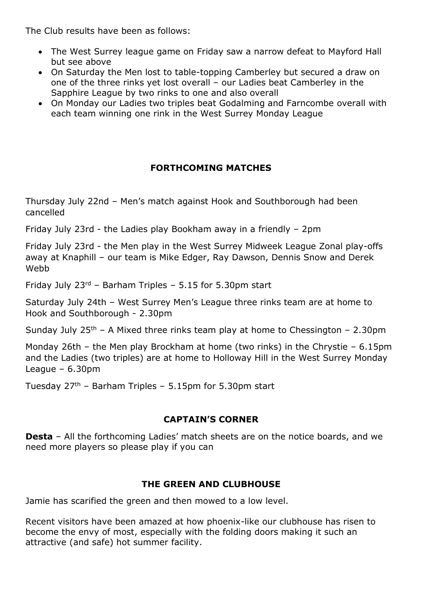The Club results have been as follows:

- The West Surrey league game on Friday saw a narrow defeat to Mayford Hall but see above
- On Saturday the Men lost to table-topping Camberley but secured a draw on one of the three rinks yet lost overall – our Ladies beat Camberley in the Sapphire League by two rinks to one and also overall
- On Monday our Ladies two triples beat Godalming and Farncombe overall with each team winning one rink in the West Surrey Monday League

# **FORTHCOMING MATCHES**

Thursday July 22nd – Men's match against Hook and Southborough had been cancelled

Friday July 23rd - the Ladies play Bookham away in a friendly – 2pm

Friday July 23rd - the Men play in the West Surrey Midweek League Zonal play-offs away at Knaphill – our team is Mike Edger, Ray Dawson, Dennis Snow and Derek Webb

Friday July 23rd – Barham Triples – 5.15 for 5.30pm start

Saturday July 24th – West Surrey Men's League three rinks team are at home to Hook and Southborough - 2.30pm

Sunday July  $25<sup>th</sup>$  – A Mixed three rinks team play at home to Chessington – 2.30pm

Monday 26th – the Men play Brockham at home (two rinks) in the Chrystie – 6.15pm and the Ladies (two triples) are at home to Holloway Hill in the West Surrey Monday League – 6.30pm

Tuesday  $27<sup>th</sup>$  – Barham Triples – 5.15pm for 5.30pm start

## **CAPTAIN'S CORNER**

**Desta** – All the forthcoming Ladies' match sheets are on the notice boards, and we need more players so please play if you can

## **THE GREEN AND CLUBHOUSE**

Jamie has scarified the green and then mowed to a low level.

Recent visitors have been amazed at how phoenix-like our clubhouse has risen to become the envy of most, especially with the folding doors making it such an attractive (and safe) hot summer facility.